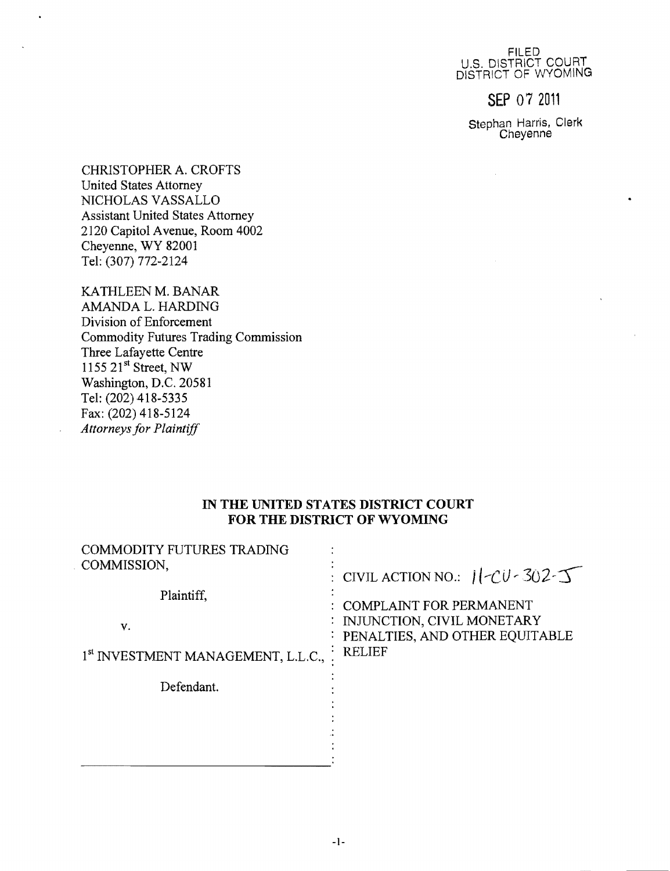FILED U.S. DISTRICT COURT DISTRICT OF WYOMING

**SEP** 07 <sup>2011</sup>

Stephan Harris, Clerk Cheyenne

 $\bar{\mathcal{L}}$ 

CHRISTOPHER A. CROFTS United States Attorney NICHOLAS VASSALLO Assistant United States Attorney 2120 Capitol Avenue, Room 4002 Cheyenne, WY 82001 Tel: (307) 772-2124

 $\ddot{\phantom{a}}$ 

KATHLEEN M. BANAR AMANDA L. HARDING Division of Enforcement Commodity Futures Trading Commission Three Lafayette Centre  $1155$   $21^{st}$  Street, NW Washington, D.C. 20581 Tel: (202) 418-5335 Fax: (202) 418-5124 *Attorneys for Plaintiff* 

### **IN THE UNITED STATES DISTRICT COURT FOR THE DISTRICT OF WYOMING**

| COMMODITY FUTURES TRADING<br>COMMISSION,       | : CIVIL ACTION NO.: $1$ $CU - 302 - 5$                                            |
|------------------------------------------------|-----------------------------------------------------------------------------------|
| Plaintiff,                                     | : COMPLAINT FOR PERMANENT                                                         |
| V.                                             | : INJUNCTION, CIVIL MONETARY<br>: PENALTIES, AND OTHER EQUITABLE<br><b>RELIEF</b> |
| 1 <sup>st</sup> INVESTMENT MANAGEMENT, L.L.C., |                                                                                   |
| Defendant.                                     |                                                                                   |
|                                                |                                                                                   |
|                                                |                                                                                   |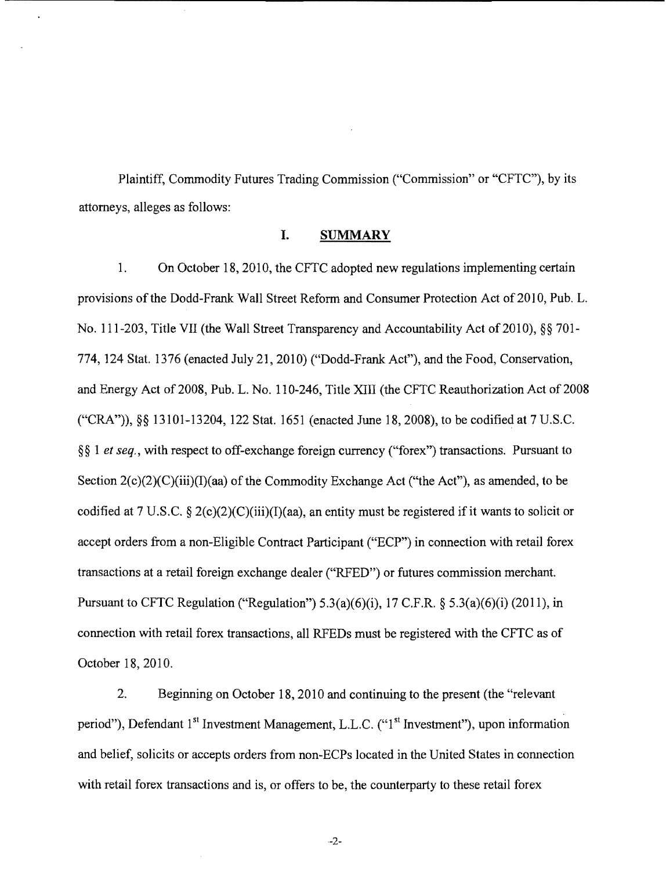Plaintiff, Commodity Futures Trading Commission ("Commission" or "CFTC"), by its attorneys, alleges as follows:

## **I. SUMMARY**

1. On October 18, 2010, the CFTC adopted new regulations implementing certain provisions of the Dodd-Frank Wall Street Reform and Consumer Protection Act of 2010, Pub. L. No. 111-203, Title VII (the Wall Street Transparency and Accountability Act of 2010), §§ 701-774, 124 Stat. 1376 (enacted July 21, 2010) ("Dodd-Frank Act"), and the Food, Conservation, and Energy Act of 2008, Pub. L. No. 110-246, Title XIII (the CFTC Reauthorization Act of 2008 ("CRA")), §§ 13101-13204, 122 Stat. 1651 (enacted June 18, 2008), to be codified at 7 U.S.C. § § **1** *et seq.,* with respect to off-exchange foreign currency ("forex") transactions. Pursuant to Section  $2(c)(2)(C)(iii)(T)(aa)$  of the Commodity Exchange Act ("the Act"), as amended, to be codified at 7 U.S.C. § 2(c)(2)(C)(iii)(I)(aa), an entity must be registered if it wants to solicit or accept orders from a non-Eligible Contract Participant ("ECP") in connection with retail forex transactions at a retail foreign exchange dealer ("RFED") or futures commission merchant. Pursuant to CFTC Regulation ("Regulation")  $5.3(a)(6)(i)$ ,  $17$  C.F.R. §  $5.3(a)(6)(i)$  (2011), in connection with retail forex transactions, all RFEDs must be registered with the CFTC as of October 18, 2010.

2. Beginning on October 18,2010 and continuing to the present (the "relevant period"), Defendant 1<sup>st</sup> Investment Management, L.L.C. ("1<sup>st</sup> Investment"), upon information and belief, solicits or accepts orders from non-ECPs located in the United States in connection with retail forex transactions and is, or offers to be, the counterparty to these retail forex

-2-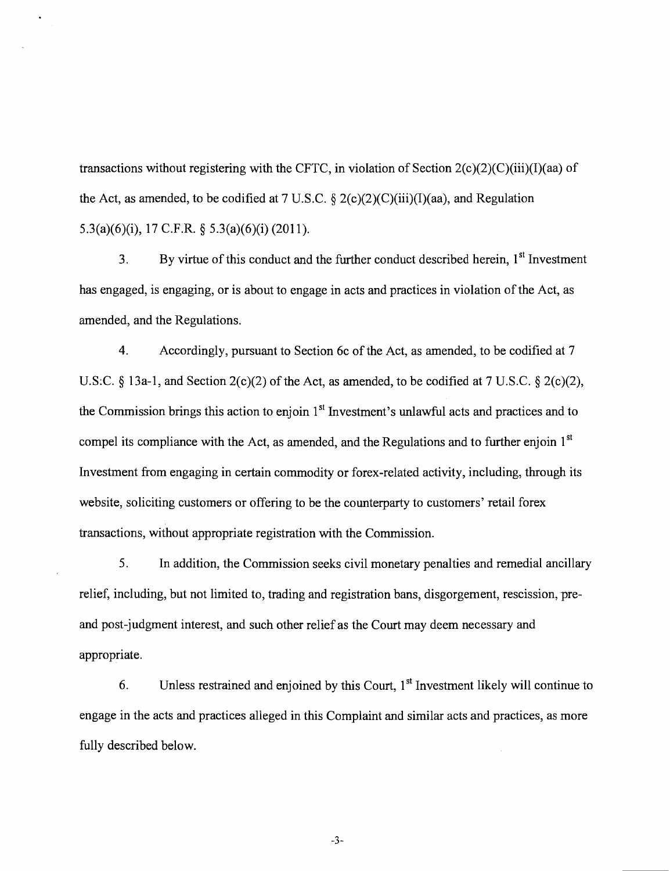transactions without registering with the CFTC, in violation of Section  $2(c)(2)(c)(iii)(I)(aa)$  of the Act, as amended, to be codified at 7 U.S.C.  $\S 2(c)(2)(C)(iii)(I)(aa)$ , and Regulation 5.3(a)(6)(i), 17 C.F.R. § 5.3(a)(6)(i)(2011).

3. By virtue of this conduct and the further conduct described herein, 1<sup>st</sup> Investment has engaged, is engaging, or is about to engage in acts and practices in violation of the Act, as amended, and the Regulations.

4. Accordingly, pursuant to Section 6c of the Act, as amended, to be codified at 7 U.S:C.  $\&$  13a-1, and Section 2(c)(2) of the Act, as amended, to be codified at 7 U.S.C.  $\&$  2(c)(2), the Commission brings this action to enjoin 1<sup>st</sup> Investment's unlawful acts and practices and to compel its compliance with the Act, as amended, and the Regulations and to further enjoin 1<sup>st</sup> Investment from engaging in certain commodity or forex-related activity, including, through its website, soliciting customers or offering to be the counterparty to customers' retail forex transactions, without appropriate registration with the Commission.

5. In addition, the Commission seeks civil monetary penalties and remedial ancillary relief, including, but not limited to, trading and registration bans, disgorgement, rescission, preand post-judgment interest, and such other relief as the Court may deem necessary and appropriate.

6. Unless restrained and enjoined by this Court,  $1<sup>st</sup>$  Investment likely will continue to engage in the acts and practices alleged in this Complaint and similar acts and practices, as more fully described below.

-3-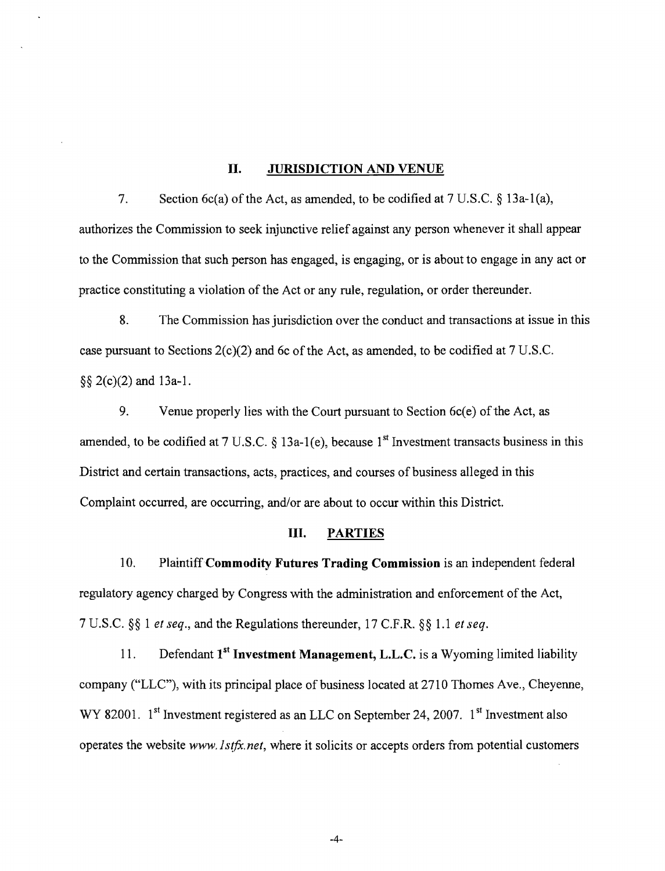#### **II. JURISDICTION AND VENUE**

7. Section 6c(a) of the Act, as amended, to be codified at  $7 \text{ U.S.C.} \S 13a-1(a)$ , authorizes the Commission to seek injunctive relief against any person whenever it shall appear to the Commission that such person has engaged, is engaging, or is about to engage in any act or practice constituting a violation of the Act or any rule, regulation, or order thereunder.

8. The Commission has jurisdiction over the conduct and transactions at issue in this case pursuant to Sections  $2(c)(2)$  and 6c of the Act, as amended, to be codified at 7 U.S.C. §§ 2(c)(2) and 13a-l.

9. Venue properly lies with the Court pursuant to Section  $6c(e)$  of the Act, as amended, to be codified at 7 U.S.C. § 13a-1(e), because  $1<sup>st</sup>$  Investment transacts business in this District and certain transactions, acts, practices, and courses of business alleged in this Complaint occurred, are occurring, and/or are about to occur within this District.

### **III. PARTIES**

10. Plaintiff **Commodity Futures Trading Commission** is an independent federal regulatory agency charged by Congress with the administration and enforcement of the Act, 7 U.S.C. §§ 1 *et seq.,* and the Regulations thereunder, 17 C.F.R. §§ 1.1 *et seq.* 

11. Defendant 1<sup>st</sup> Investment Management, L.L.C. is a Wyoming limited liability company ("LLC"), with its principal place of business located at 2710 Thomes Ave., Cheyenne, WY 82001.  $1^{st}$  Investment registered as an LLC on September 24, 2007.  $1^{st}$  Investment also operates the website *www. lstft.net,* where it solicits or accepts orders from potential customers

-4-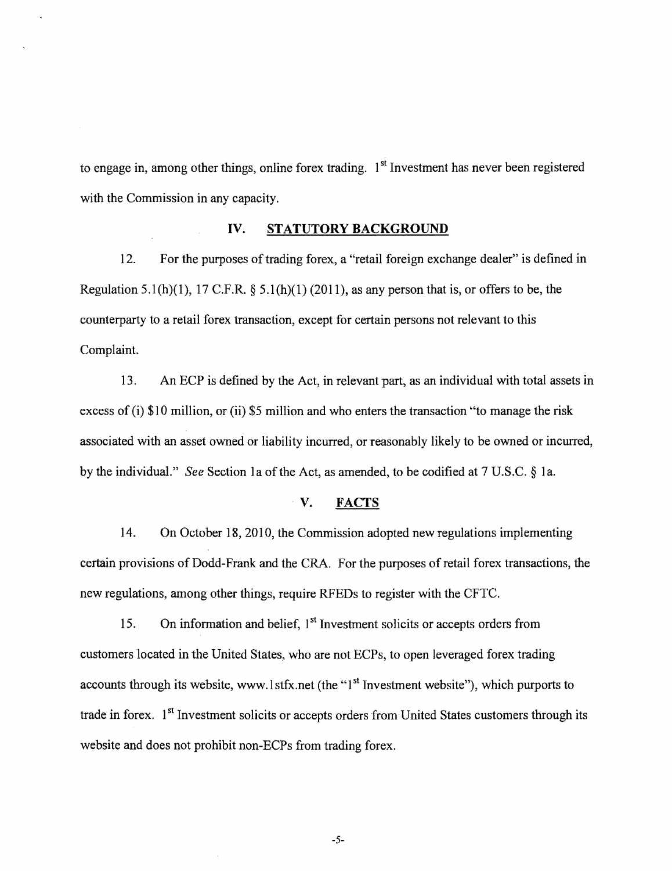to engage in, among other things, online forex trading. 1<sup>st</sup> Investment has never been registered with the Commission in any capacity.

## IV. **STATUTORY BACKGROUND**

12. For the purposes of trading forex, a "retail foreign exchange dealer" is defined in Regulation 5.1(h)(1), 17 C.F.R. § 5.1(h)(1) (2011), as any person that is, or offers to be, the counterparty to a retail forex transaction, except for certain persons not relevant to this Complaint.

13. An ECP is defined by the Act, in relevant part, as an individual with total assets in excess of (i) \$10 million, or (ii) \$5 million and who enters the transaction "to manage the risk associated with an asset owned or liability incurred, or reasonably likely to be owned or incurred, by the individuaL" *See* Section la of the Act, as amended, to be codified at 7 U.S.C. § 1a.

### V. FACTS

14. On October 18,2010, the Commission adopted new regulations implementing certain provisions of Dodd-Frank and the CRA. For the purposes of retail forex transactions, the new regulations, among other things, require RFEDs to register with the CFTC.

15. On information and belief,  $1<sup>st</sup>$  Investment solicits or accepts orders from customers located in the United States, who are not ECPs, to open leveraged forex trading accounts through its website, www.1stfx.net (the "1<sup>st</sup> Investment website"), which purports to trade in forex.  $1<sup>st</sup>$  Investment solicits or accepts orders from United States customers through its website and does not prohibit non-ECPs from trading forex.

-5-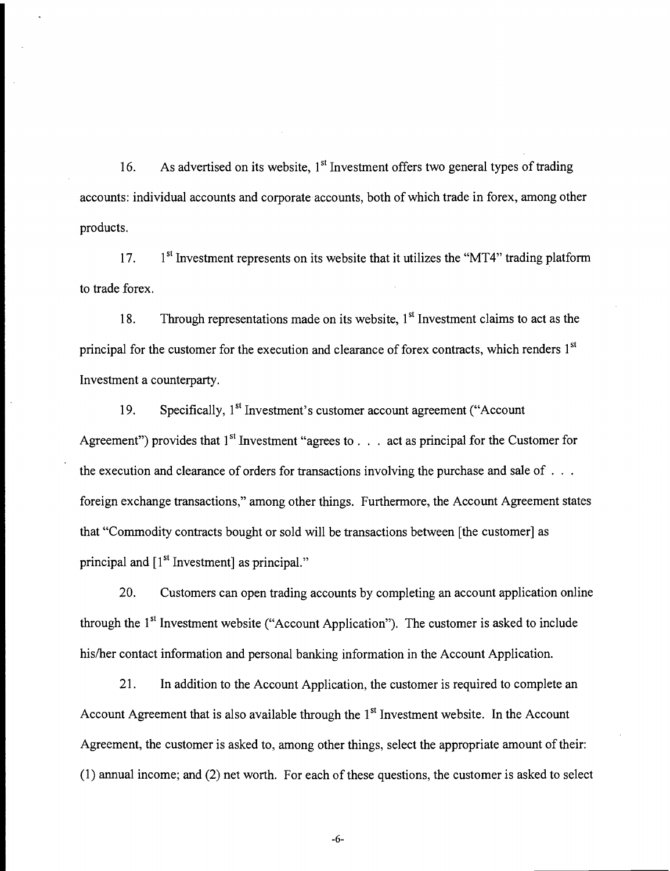16. As advertised on its website,  $1<sup>st</sup>$  Investment offers two general types of trading accounts: individual accounts and corporate accounts, both of which trade in forex, among other products.

17. 1  $1<sup>st</sup>$  Investment represents on its website that it utilizes the "MT4" trading platform to trade forex.

18. Through representations made on its website,  $1<sup>st</sup>$  Investment claims to act as the principal for the customer for the execution and clearance of forex contracts, which renders 1<sup>st</sup> Investment a counterparty.

19. Specifically, 1<sup>st</sup> Investment's customer account agreement ("Account" Agreement") provides that  $1<sup>st</sup>$  Investment "agrees to . . . act as principal for the Customer for the execution and clearance of orders for transactions involving the purchase and sale of . . . foreign exchange transactions," among other things. Furthermore, the Account Agreement states that "Commodity contracts bought or sold will be transactions between [the customer] as principal and  $[1<sup>st</sup> Investment]$  as principal."

20. Customers can open trading accounts by completing an account application online through the 1<sup>st</sup> Investment website ("Account Application"). The customer is asked to include his/her contact information and personal banking information in the Account Application.

21. In addition to the Account Application, the customer is required to complete an Account Agreement that is also available through the  $1<sup>st</sup>$  Investment website. In the Account Agreement, the customer is asked to, among other things, select the appropriate amount of their:  $(1)$  annual income; and  $(2)$  net worth. For each of these questions, the customer is asked to select

-6-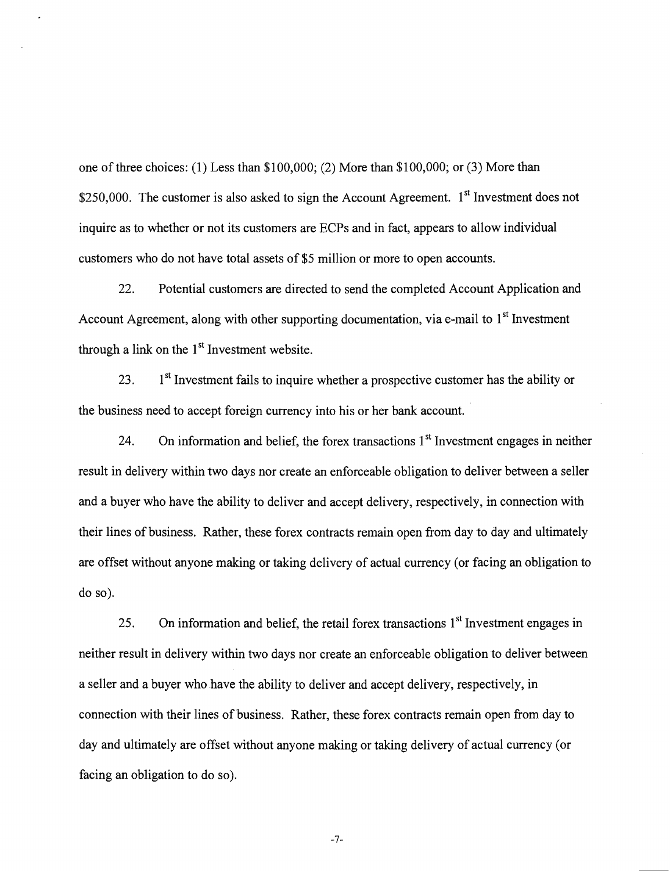one of three choices: (1) Less than \$100,000; (2) More than \$100,000; or (3) More than \$250,000. The customer is also asked to sign the Account Agreement.  $1<sup>st</sup>$  Investment does not inquire as to whether or not its customers are ECPs and in fact, appears to allow individual customers who do not have total assets of \$5 million or more to open accounts.

22. Potential customers are directed to send the completed Account Application and Account Agreement, along with other supporting documentation, via e-mail to 1<sup>st</sup> Investment through a link on the  $1<sup>st</sup>$  Investment website.

23. 1<sup>st</sup> Investment fails to inquire whether a prospective customer has the ability or the business need to accept foreign currency into his or her bank account.

24. On information and belief, the forex transactions  $1<sup>st</sup>$  Investment engages in neither result in delivery within two days nor create an enforceable obligation to deliver between a seller and a buyer who have the ability to deliver and accept delivery, respectively, in connection with their lines of business. Rather, these forex contracts remain open from day to day and ultimately are offset without anyone making or taking delivery of actual currency (or facing an obligation to do so).

25. On information and belief, the retail forex transactions  $1<sup>st</sup>$  Investment engages in neither result in delivery within two days nor create an enforceable obligation to deliver between a seller and a buyer who have the ability to deliver and accept delivery, respectively, in connection with their lines of business. Rather, these forex contracts remain open from day to day and ultimately are offset without anyone making or taking delivery of actual currency (or facing an obligation to do so).

-7-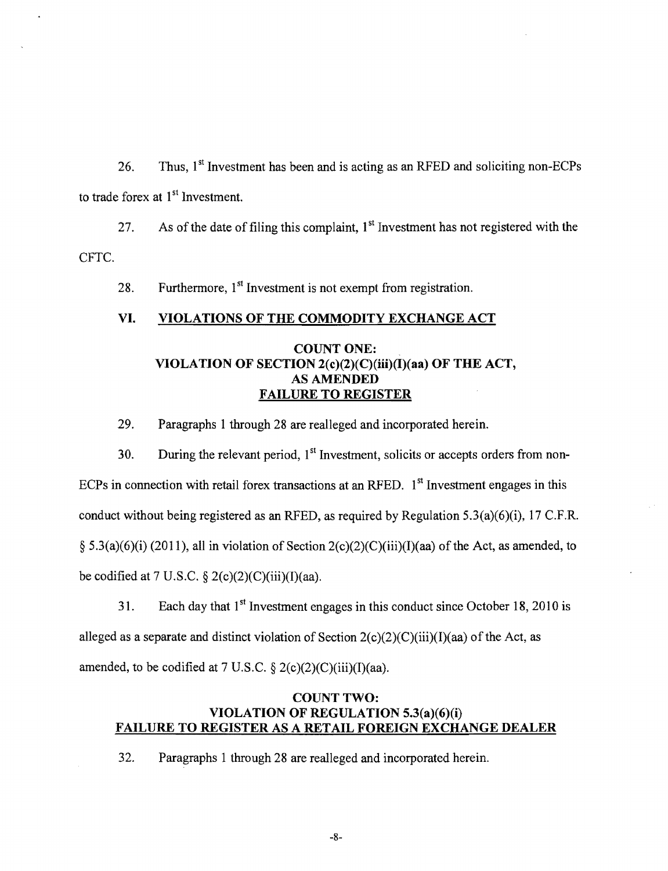26. Thus,  $1<sup>st</sup>$  Investment has been and is acting as an RFED and soliciting non-ECPs to trade forex at  $1<sup>st</sup>$  Investment.

CFTC. 27. As of the date of filing this complaint,  $1<sup>st</sup>$  Investment has not registered with the

28. Furthermore,  $1<sup>st</sup>$  Investment is not exempt from registration.

#### VI. VIOLATIONS OF THE COMMODITY EXCHANGE ACT

# COUNT ONE: VIOLATION OF SECTION  $2(c)(2)(C)(iii)(I)(aa)$  OF THE ACT, AS AMENDED FAILURE TO REGISTER

29. Paragraphs I through 28 are realleged and incorporated herein.

30. During the relevant period,  $1<sup>st</sup>$  Investment, solicits or accepts orders from non-ECPs in connection with retail forex transactions at an RFED.  $1<sup>st</sup>$  Investment engages in this conduct without being registered as an RFED, as required by Regulation 5.3(a)(6)(i), 17 C.F.R. § 5.3(a)(6)(i) (2011), all in violation of Section 2(c)(2)(C)(iii)(I)(aa) of the Act, as amended, to be codified at 7 U.S.C.  $\S 2(c)(2)(C)(iii)(I)(aa)$ .

31. Each day that  $1<sup>st</sup>$  Investment engages in this conduct since October 18, 2010 is alleged as a separate and distinct violation of Section  $2(c)(2)(C)(iii)(I)(aa)$  of the Act, as amended, to be codified at 7 U.S.C.  $\S 2(c)(2)(C)(iii)(I)(aa)$ .

# COUNT TWO: VIOLATION OF REGULATION 5.3(a)(6)(i) FAILURE TO REGISTER AS A RETAIL FOREIGN EXCHANGE DEALER

32. Paragraphs 1 through 28 are realleged and incorporated herein.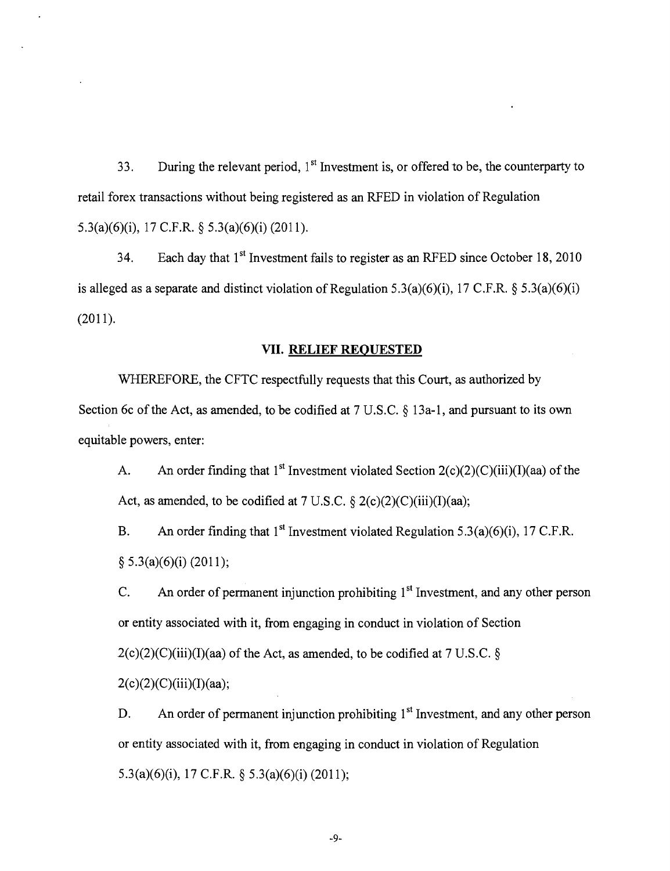33. During the relevant period,  $1<sup>st</sup>$  Investment is, or offered to be, the counterparty to retail forex transactions without being registered as an RFED in violation of Regulation 5.3(a)(6)(i), 17 C.F.R. § 5.3(a)(6)(i) (2011).

34. Each day that 1<sup>st</sup> Investment fails to register as an RFED since October 18, 2010 is alleged as a separate and distinct violation of Regulation 5.3(a)(6)(i), 17 C.F.R. § 5.3(a)(6)(i) (2011).

# VII. **RELIEF REQUESTED**

WHEREFORE, the CFTC respectfully requests that this Court, as authorized by Section 6c of the Act, as amended, to be codified at  $7 \text{ U.S.C.} \S 13a-1$ , and pursuant to its own equitable powers, enter:

A. An order finding that 1<sup>st</sup> Investment violated Section  $2(c)(2)(c)(iii)(I)(aa)$  of the Act, as amended, to be codified at  $7 \text{ U.S.C.} \$   $2(c)(2)(C)(iii)(I)(aa);$ 

B. An order finding that 1<sup>st</sup> Investment violated Regulation 5.3(a)(6)(i), 17 C.F.R. § 5.3(a)(6)(i) (2011);

C. An order of permanent injunction prohibiting  $1<sup>st</sup>$  Investment, and any other person or entity associated with it, from engaging in conduct in violation of Section  $2(c)(2)(C)(iii)(I)(aa)$  of the Act, as amended, to be codified at 7 U.S.C. §  $2(c)(2)(C)(iii)(I)(aa);$ 

D. An order of permanent injunction prohibiting 1<sup>st</sup> Investment, and any other person or entity associated with it, from engaging in conduct in violation of Regulation 5.3(a)(6)(i), 17 C.F.R. § 5.3(a)(6)(i) (2011);

-9-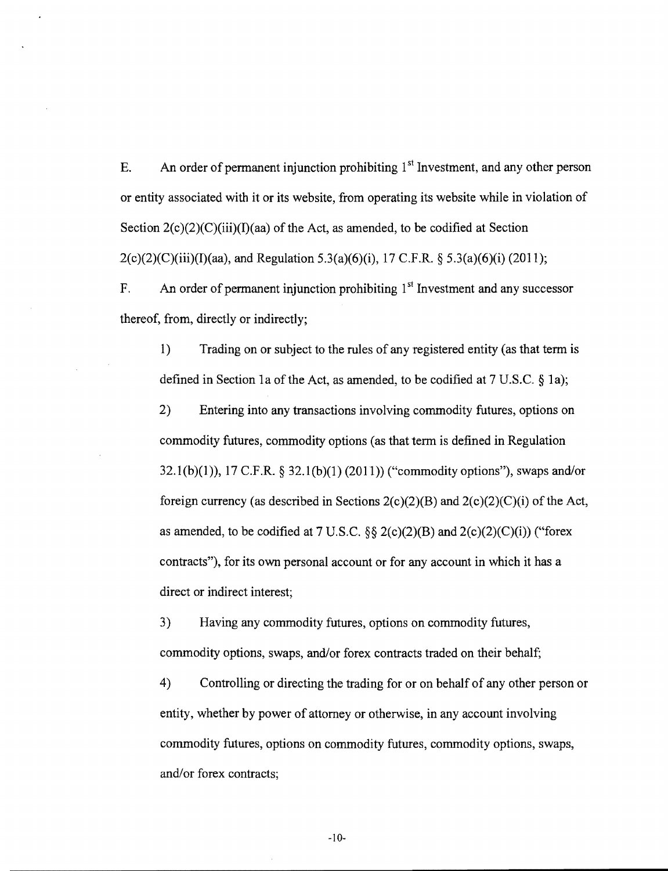E. An order of permanent injunction prohibiting  $1<sup>st</sup>$  Investment, and any other person or entity associated with it or its website, from operating its website while in violation of Section  $2(c)(2)(C)(iii)(I)(aa)$  of the Act, as amended, to be codified at Section  $2(c)(2)(C)(iii)(I)(aa)$ , and Regulation 5.3(a)(6)(i), 17 C.F.R. § 5.3(a)(6)(i) (2011);

F. An order of permanent injunction prohibiting  $1<sup>st</sup>$  Investment and any successor thereof, from, directly or indirectly;

1) Trading on or subject to the rules of any registered entity (as that term is defined in Section 1a of the Act, as amended, to be codified at 7 U.S.C. § 1a);

2) Entering into any transactions involving commodity futures, options on commodity futures, commodity options (as that term is defined in Regulation 32.1(b)(1)), 17 C.F.R. § 32.1(b)(1) (2011)) ("commodity options"), swaps and/or foreign currency (as described in Sections  $2(c)(2)(B)$  and  $2(c)(2)(C)(i)$  of the Act, as amended, to be codified at 7 U.S.C.  $\S\S 2(c)(2)(B)$  and  $2(c)(2)(C)(i)$ ) ("forex contracts"), for its own personal account or for any account in which it has a direct or indirect interest;

3) Having any commodity futures, options on commodity futures, commodity options, swaps, and/or forex contracts traded on their behalf;

4) Controlling or directing the trading for or on behalf of any other person or entity, whether by power of attorney or otherwise, in any account involving commodity futures, options on commodity futures, commodity options, swaps, and/or forex contracts;

-10-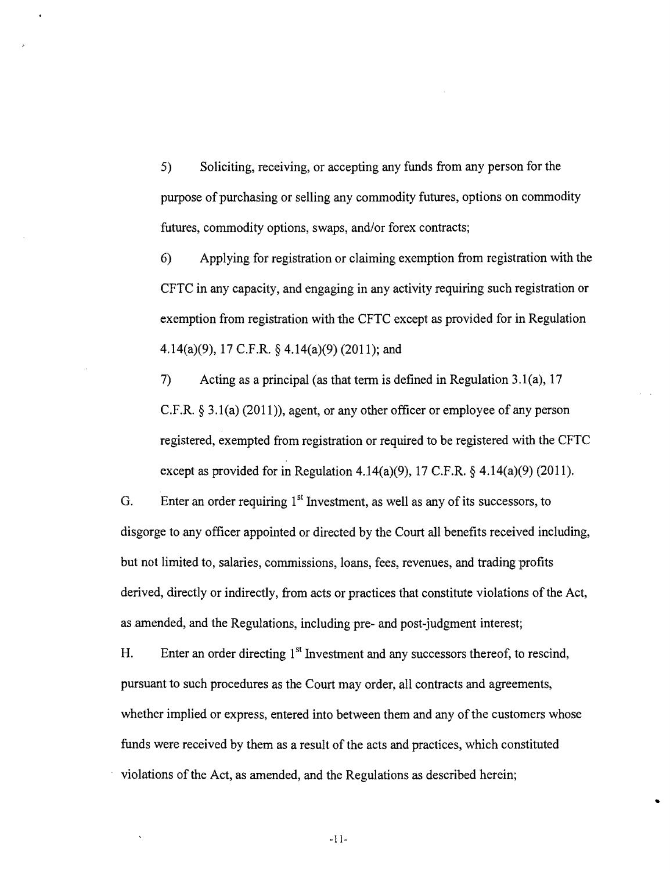5) Soliciting, receiving, or accepting any funds from any person for the purpose of purchasing or selling any commodity futures, options on commodity futures, commodity options, swaps, and/or forex contracts;

6) Applying for registration or claiming exemption from registration with the CFTC in any capacity, and engaging in any activity requiring such registration or exemption from registration with the CFTC except as provided for in Regulation 4.14(a)(9), 17 C.F.R. § 4.14(a)(9) (2011); and

7) Acting as a principal (as that term is defined in Regulation 3.l(a), 17 C.F.R.  $\S 3.1(a)$  (2011)), agent, or any other officer or employee of any person registered, exempted from registration or required to be registered with the CFTC except as provided for in Regulation 4.14(a)(9), 17 C.F.R.  $\S$  4.14(a)(9) (2011).

G. Enter an order requiring  $1<sup>st</sup>$  Investment, as well as any of its successors, to disgorge to any officer appointed or directed by the Court all benefits received including, but not limited to, salaries, commissions, loans, fees, revenues, and trading profits derived, directly or indirectly, from acts or practices that constitute violations of the Act, as amended, and the Regulations, including pre- and post-judgment interest;

H. Enter an order directing  $1<sup>st</sup>$  Investment and any successors thereof, to rescind, pursuant to such procedures as the Court may order, all contracts and agreements, whether implied or express, entered into between them and any of the customers whose funds were received by them as a result of the acts and practices, which constituted violations of the Act, as amended, and the Regulations as described herein;

•

-11-